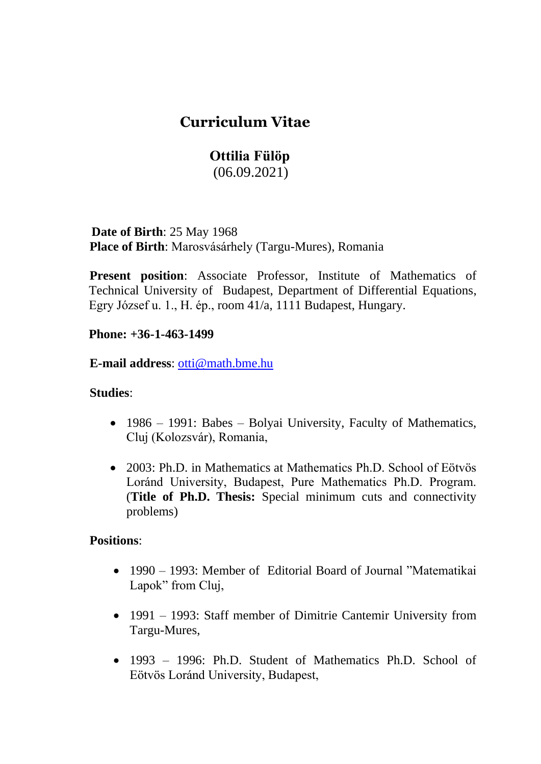## **Curriculum Vitae**

# **Ottilia Fülöp**

(06.09.2021)

 **Date of Birth**: 25 May 1968 **Place of Birth**: Marosvásárhely (Targu-Mures), Romania

**Present position:** Associate Professor, Institute of Mathematics of Technical University of Budapest, Department of Differential Equations, Egry József u. 1., H. ép., room 41/a, 1111 Budapest, Hungary.

**Phone: +36-1-463-1499** 

**E-mail address**: [otti@math.bme.hu](mailto:otti@math.bme.hu)

#### **Studies**:

- 1986 1991: Babes Bolyai University, Faculty of Mathematics, Cluj (Kolozsvár), Romania,
- 2003: Ph.D. in Mathematics at Mathematics Ph.D. School of Eötvös Loránd University, Budapest, Pure Mathematics Ph.D. Program. (**Title of Ph.D. Thesis:** Special minimum cuts and connectivity problems)

#### **Positions**:

- 1990 1993: Member of Editorial Board of Journal "Matematikai" Lapok" from Cluj,
- 1991 1993: Staff member of Dimitrie Cantemir University from Targu-Mures,
- 1993 1996: Ph.D. Student of Mathematics Ph.D. School of Eötvös Loránd University, Budapest,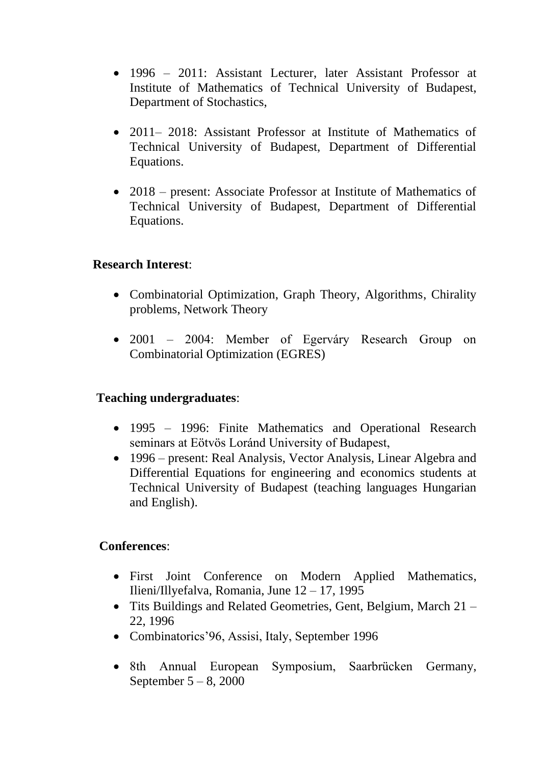- 1996 2011: Assistant Lecturer, later Assistant Professor at Institute of Mathematics of Technical University of Budapest, Department of Stochastics,
- 2011– 2018: Assistant Professor at Institute of Mathematics of Technical University of Budapest, Department of Differential Equations.
- 2018 present: Associate Professor at Institute of Mathematics of Technical University of Budapest, Department of Differential Equations.

#### **Research Interest**:

- Combinatorial Optimization, Graph Theory, Algorithms, Chirality problems, Network Theory
- 2001 2004: Member of Egerváry Research Group on Combinatorial Optimization (EGRES)

#### **Teaching undergraduates**:

- 1995 1996: Finite Mathematics and Operational Research seminars at Eötvös Loránd University of Budapest,
- 1996 present: Real Analysis, Vector Analysis, Linear Algebra and Differential Equations for engineering and economics students at Technical University of Budapest (teaching languages Hungarian and English).

#### **Conferences**:

- First Joint Conference on Modern Applied Mathematics, Ilieni/Illyefalva, Romania, June 12 – 17, 1995
- Tits Buildings and Related Geometries, Gent, Belgium, March 21 22, 1996
- Combinatorics' 96, Assisi, Italy, September 1996
- 8th Annual European Symposium, Saarbrücken Germany, September 5 – 8, 2000